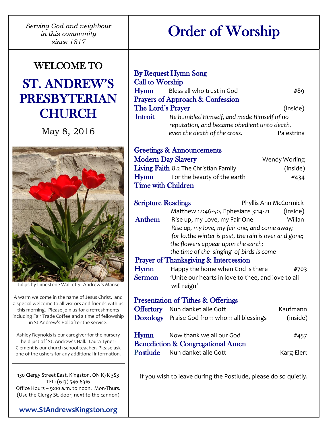*Serving God and neighbour in this community since 1817*

## WELCOME TO ST. ANDREW'S PRESBYTERIAN **CHURCH**

May 8, 2016



Tulips by Limestone Wall of St Andrew's Manse

A warm welcome in the name of Jesus Christ. and a special welcome to all visitors and friends with us this morning. Please join us for a refreshments including Fair Trade Coffee and a time of fellowship in St Andrew's Hall after the service.

Ashley Reynolds is our caregiver for the nursery held just off St. Andrew's Hall. Laura Tyner-Clement is our church school teacher. Please ask one of the ushers for any additional information.

130 Clergy Street East, Kingston, ON K7K 3S3 TEL: (613) 546-6316 Office Hours – 9:00 a.m. to noon. Mon-Thurs. (Use the Clergy St. door, next to the cannon)

**[www.StAndrewsKingston.org](http://www.standrewskingston.org/)**

# Order of Worship

| <b>Call to Worship</b><br>Hymn<br>The Lord's Prayer<br>Introit | <b>By Request Hymn Song</b><br>Bless all who trust in God<br><b>Prayers of Approach &amp; Confession</b><br>He humbled Himself, and made Himself of no<br>reputation, and became obedient unto death,<br>even the death of the cross. | #89<br>(inside)<br>Palestrina |  |
|----------------------------------------------------------------|---------------------------------------------------------------------------------------------------------------------------------------------------------------------------------------------------------------------------------------|-------------------------------|--|
|                                                                | <b>Greetings &amp; Announcements</b>                                                                                                                                                                                                  |                               |  |
| <b>Modern Day Slavery</b>                                      |                                                                                                                                                                                                                                       | Wendy Worling                 |  |
|                                                                | Living Faith 8.2 The Christian Family                                                                                                                                                                                                 | (inside)                      |  |
| Hymn                                                           | For the beauty of the earth                                                                                                                                                                                                           | #434                          |  |
| <b>Time with Children</b>                                      |                                                                                                                                                                                                                                       |                               |  |
| <b>Scripture Readings</b>                                      |                                                                                                                                                                                                                                       | Phyllis Ann McCormick         |  |
|                                                                | Matthew 12:46-50, Ephesians $3:14-21$ (inside)                                                                                                                                                                                        |                               |  |
| Anthem                                                         | Rise up, my Love, my Fair One                                                                                                                                                                                                         | Willan                        |  |
|                                                                | Rise up, my love, my fair one, and come away;                                                                                                                                                                                         |                               |  |
|                                                                | for lo, the winter is past, the rain is over and gone;                                                                                                                                                                                |                               |  |
|                                                                | the flowers appear upon the earth;                                                                                                                                                                                                    |                               |  |
|                                                                | the time of the singing of birds is come                                                                                                                                                                                              |                               |  |
|                                                                | <b>Prayer of Thanksgiving &amp; Intercession</b>                                                                                                                                                                                      |                               |  |
| <b>Hymn</b>                                                    | Happy the home when God is there                                                                                                                                                                                                      | #703                          |  |
| <b>Sermon</b>                                                  | 'Unite our hearts in love to thee, and love to all<br>will reign'                                                                                                                                                                     |                               |  |
|                                                                | <b>Presentation of Tithes &amp; Offerings</b>                                                                                                                                                                                         |                               |  |
|                                                                | <b>Offertory</b> Nun danket alle Gott                                                                                                                                                                                                 | Kaufmann                      |  |
|                                                                | Doxology Praise God from whom all blessings                                                                                                                                                                                           | (inside)                      |  |

| Hymn | Now thank we all our God                     | #457       |
|------|----------------------------------------------|------------|
|      | <b>Benediction &amp; Congregational Amen</b> |            |
|      | <b>Postlude</b> Nun danket alle Gott         | Karg-Elert |

If you wish to leave during the Postlude, please do so quietly.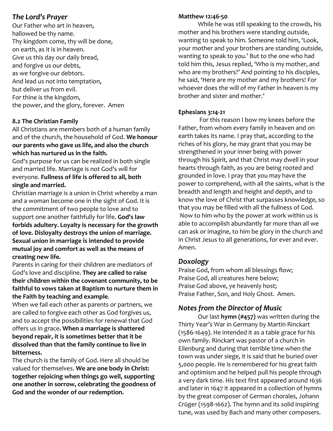#### *The Lord's Prayer*

Our Father who art in heaven, hallowed be thy name. Thy kingdom come, thy will be done, on earth, as it is in heaven. Give us this day our daily bread, and forgive us our debts, as we forgive our debtors. And lead us not into temptation, but deliver us from evil. For thine is the kingdom, the power, and the glory, forever. Amen

#### **8.2 The Christian Family**

All Christians are members both of a human family and of the church, the household of God. **We honour our parents who gave us life, and also the church which has nurtured us in the faith.** 

God's purpose for us can be realized in both single and married life. Marriage is not God's will for everyone. **Fullness of life is offered to all, both single and married.**

Christian marriage is a union in Christ whereby a man and a woman become one in the sight of God. It is the commitment of two people to love and to support one another faithfully for life. **God's law forbids adultery. Loyalty is necessary for the growth of love. Disloyalty destroys the union of marriage. Sexual union in marriage is intended to provide mutual joy and comfort as well as the means of creating new life.**

Parents in caring for their children are mediators of God's love and discipline. **They are called to raise their children within the covenant community, to be faithful to vows taken at Baptism to nurture them in the Faith by teaching and example**.

When we fail each other as parents or partners, we are called to forgive each other as God forgives us, and to accept the possibilities for renewal that God offers us in grace**. When a marriage is shattered beyond repair, it is sometimes better that it be dissolved than that the family continue to live in bitterness.**

The church is the family of God. Here all should be valued for themselves. **We are one body in Christ: together rejoicing when things go well, supporting one another in sorrow, celebrating the goodness of God and the wonder of our redemption.**

#### **Matthew 12:46-50**

While he was still speaking to the crowds, his mother and his brothers were standing outside, wanting to speak to him. Someone told him, 'Look, your mother and your brothers are standing outside, wanting to speak to you.' But to the one who had told him this, Jesus replied, 'Who is my mother, and who are my brothers?' And pointing to his disciples, he said, 'Here are my mother and my brothers! For whoever does the will of my Father in heaven is my brother and sister and mother.'

#### **Ephesians 3:14-21**

For this reason I bow my knees before the Father, from whom every family in heaven and on earth takes its name. I pray that, according to the riches of his glory, he may grant that you may be strengthened in your inner being with power through his Spirit, and that Christ may dwell in your hearts through faith, as you are being rooted and grounded in love. I pray that you may have the power to comprehend, with all the saints, what is the breadth and length and height and depth, and to know the love of Christ that surpasses knowledge, so that you may be filled with all the fullness of God. Now to him who by the power at work within us is able to accomplish abundantly far more than all we can ask or imagine, to him be glory in the church and in Christ Jesus to all generations, for ever and ever. Amen.

#### *Doxology*

Praise God, from whom all blessings flow; Praise God, all creatures here below; Praise God above, ye heavenly host; Praise Father, Son, and Holy Ghost. Amen.

## *Notes from the Director of Music*

Our last **hymn (#457)** was written during the Thirty Year's War in Germany by Martin Rinckart (1586-1649). He intended it as a table grace for his own family. Rinckart was pastor of a church in Eilenburg and during that terrible time when the town was under siege, it is said that he buried over 5,000 people. He is remembered for his great faith and optimism and he helped pull his people through a very dark time. His text first appeared around 1636 and later in 1647 it appeared in a collection of hymns by the great composer of German chorales, Johann Crüger (1598-1662). The hymn and its solid inspiring tune, was used by Bach and many other composers.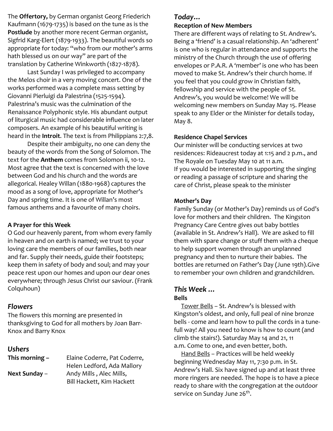The **Offertory,** by German organist Georg Friederich Kaufmann (1679-1735) is based on the tune as is the **Postlude** by another more recent German organist, Sigfrid Karg-Elert (1879-1933). The beautiful words so appropriate for today: "who from our mother's arms hath blessed us on our way" are part of the translation by Catherine Winkworth (1827-1878).

Last Sunday I was privileged to accompany the Melos choir in a very moving concert. One of the works performed was a complete mass setting by Giovanni Pierluigi da Palestrina (1525-1594). Palestrina's music was the culmination of the Renaissance Polyphonic style. His abundant output of liturgical music had considerable influence on later composers. An example of his beautiful writing is heard in the **Introit**. The text is from Philippians 2:7,8.

Despite their ambiguity, no one can deny the beauty of the words from the Song of Solomon. The text for the **Anthem** comes from Solomon ii, 10-12. Most agree that the text is concerned with the love between God and his church and the words are allegorical. Healey Willan (1880-1968) captures the mood as a song of love, appropriate for Mother's Day and spring time. It is one of Willan's most famous anthems and a favourite of many choirs.

#### **A Prayer for this Week**

O God our heavenly parent, from whom every family in heaven and on earth is named; we trust to your loving care the members of our families, both near and far. Supply their needs, guide their footsteps; keep them in safety of body and soul; and may your peace rest upon our homes and upon our dear ones everywhere; through Jesus Christ our saviour. (Frank Colquhoun)

#### *Flowers*

The flowers this morning are presented in thanksgiving to God for all mothers by Joan Barr-Knox and Barry Knox

#### *Ushers*

| This morning - | Elaine Coderre, Pat Coderre, |
|----------------|------------------------------|
|                | Helen Ledford, Ada Mallory   |
| Next Sunday -  | Andy Mills, Alec Mills,      |
|                | Bill Hackett, Kim Hackett    |

#### *Today…*

#### **Reception of New Members**

There are different ways of relating to St. Andrew's. Being a 'friend' is a casual relationship. An 'adherent' is one who is regular in attendance and supports the ministry of the Church through the use of offering envelopes or P.A.R. A 'member' is one who has been moved to make St. Andrew's their church home. If you feel that you could grow in Christian faith, fellowship and service with the people of St. Andrew's, you would be welcome! We will be welcoming new members on Sunday May 15. Please speak to any Elder or the Minister for details today, May 8.

#### **Residence Chapel Services**

Our minister will be conducting services at two residences: Rideaucrest today at 1:15 and 2 p.m., and The Royale on Tuesday May 10 at 11 a.m. If you would be interested in supporting the singing or reading a passage of scripture and sharing the care of Christ, please speak to the minister

#### **Mother's Day**

Family Sunday (or Mother's Day) reminds us of God's love for mothers and their children. The Kingston Pregnancy Care Centre gives out baby bottles (available in St. Andrew's Hall). We are asked to fill them with spare change or stuff them with a cheque to help support women through an unplanned pregnancy and then to nurture their babies. The bottles are returned on Father's Day (June 19th).Give to remember your own children and grandchildren.

#### *This Week …* **Bells**

 Tower Bells – St. Andrew's is blessed with Kingston's oldest, and only, full peal of nine bronze bells - come and learn how to pull the cords in a tunefull way! All you need to know is how to count (and climb the stairs!). Saturday May 14 and 21, 11 a.m. Come to one, and even better, both.

 Hand Bells – Practices will be held weekly beginning Wednesday May 11, 7:30 p.m. in St. Andrew's Hall. Six have signed up and at least three more ringers are needed. The hope is to have a piece ready to share with the congregation at the outdoor service on Sunday June 26<sup>th</sup>.